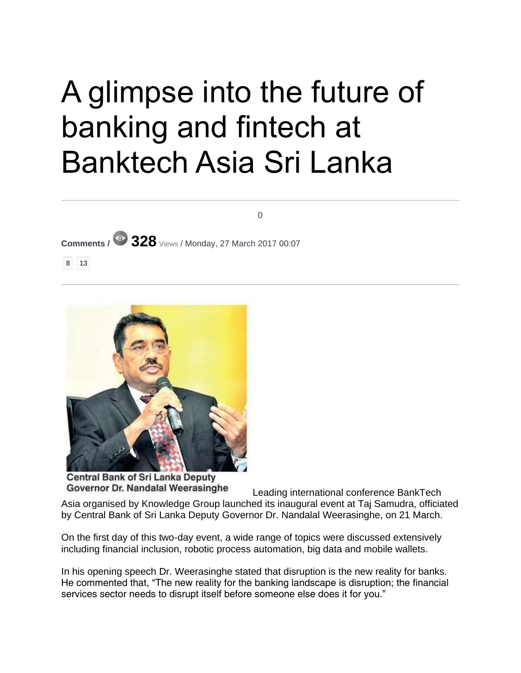## A glimpse into the future of banking and fintech at Banktech Asia Sri Lanka

0

**Comments / 328** Views / Monday, 27 March 2017 00:07 **8 13**



**Central Bank of Sri Lanka Deputy** Governor Dr. Nandalal Weerasinghe

Leading international conference BankTech Asia organised by Knowledge Group launched its inaugural event at Taj Samudra, officiated by Central Bank of Sri Lanka Deputy Governor Dr. Nandalal Weerasinghe, on 21 March.

On the first day of this two-day event, a wide range of topics were discussed extensively including financial inclusion, robotic process automation, big data and mobile wallets.

In his opening speech Dr. Weerasinghe stated that disruption is the new reality for banks. He commented that, "The new reality for the banking landscape is disruption; the financial services sector needs to disrupt itself before someone else does it for you."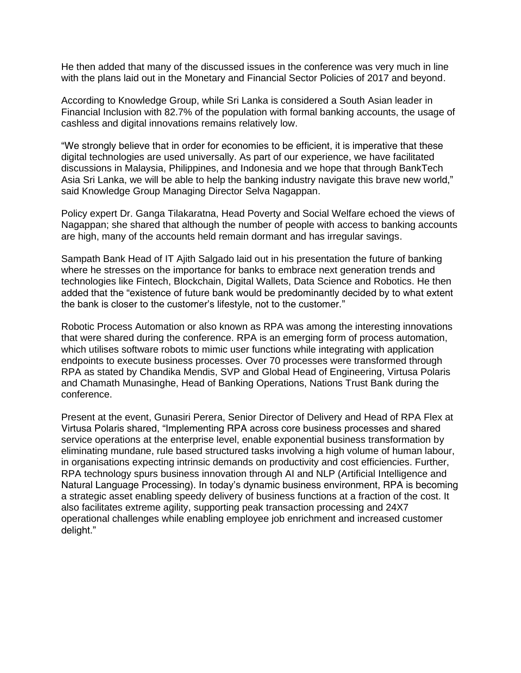He then added that many of the discussed issues in the conference was very much in line with the plans laid out in the Monetary and Financial Sector Policies of 2017 and beyond.

According to Knowledge Group, while Sri Lanka is considered a South Asian leader in Financial Inclusion with 82.7% of the population with formal banking accounts, the usage of cashless and digital innovations remains relatively low.

"We strongly believe that in order for economies to be efficient, it is imperative that these digital technologies are used universally. As part of our experience, we have facilitated discussions in Malaysia, Philippines, and Indonesia and we hope that through BankTech Asia Sri Lanka, we will be able to help the banking industry navigate this brave new world," said Knowledge Group Managing Director Selva Nagappan.

Policy expert Dr. Ganga Tilakaratna, Head Poverty and Social Welfare echoed the views of Nagappan; she shared that although the number of people with access to banking accounts are high, many of the accounts held remain dormant and has irregular savings.

Sampath Bank Head of IT Ajith Salgado laid out in his presentation the future of banking where he stresses on the importance for banks to embrace next generation trends and technologies like Fintech, Blockchain, Digital Wallets, Data Science and Robotics. He then added that the "existence of future bank would be predominantly decided by to what extent the bank is closer to the customer's lifestyle, not to the customer."

Robotic Process Automation or also known as RPA was among the interesting innovations that were shared during the conference. RPA is an emerging form of process automation, which utilises software robots to mimic user functions while integrating with application endpoints to execute business processes. Over 70 processes were transformed through RPA as stated by Chandika Mendis, SVP and Global Head of Engineering, Virtusa Polaris and Chamath Munasinghe, Head of Banking Operations, Nations Trust Bank during the conference.

Present at the event, Gunasiri Perera, Senior Director of Delivery and Head of RPA Flex at Virtusa Polaris shared, "Implementing RPA across core business processes and shared service operations at the enterprise level, enable exponential business transformation by eliminating mundane, rule based structured tasks involving a high volume of human labour, in organisations expecting intrinsic demands on productivity and cost efficiencies. Further, RPA technology spurs business innovation through AI and NLP (Artificial Intelligence and Natural Language Processing). In today's dynamic business environment, RPA is becoming a strategic asset enabling speedy delivery of business functions at a fraction of the cost. It also facilitates extreme agility, supporting peak transaction processing and 24X7 operational challenges while enabling employee job enrichment and increased customer delight."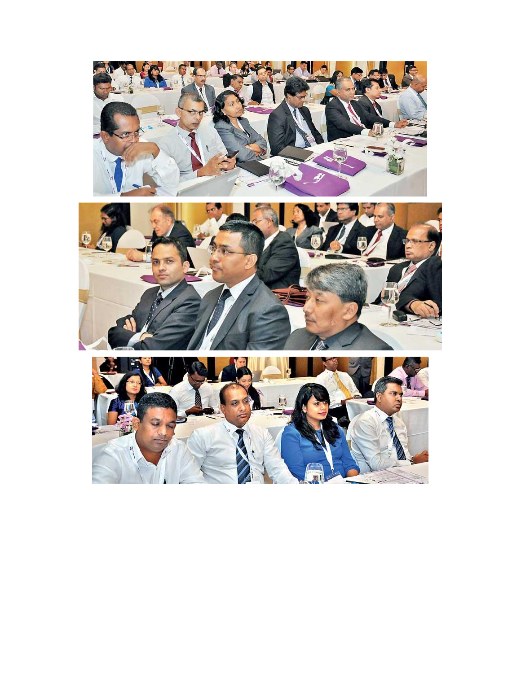